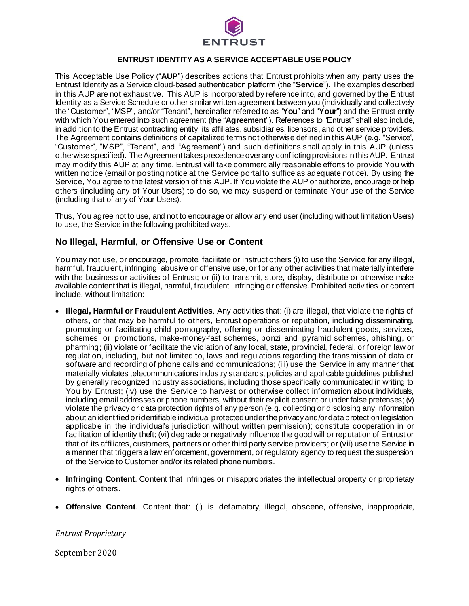

### **ENTRUST IDENTITY AS A SERVICE ACCEPTABLE USE POLICY**

This Acceptable Use Policy ("**AUP**") describes actions that Entrust prohibits when any party uses the Entrust Identity as a Service cloud-based authentication platform (the "**Service**"). The examples described in this AUP are not exhaustive. This AUP is incorporated by reference into, and governed by the Entrust Identity as a Service Schedule or other similar written agreement between you (individually and collectively the "Customer", "MSP", and/or "Tenant", hereinafter referred to as "**You**" and "**Your**") and the Entrust entity with which You entered into such agreement (the "**Agreement**"). References to "Entrust" shall also include, in addition to the Entrust contracting entity, its affiliates, subsidiaries, licensors, and other service providers. The Agreement contains definitions of capitalized terms not otherwise defined in this AUP (e.g. "Service", "Customer", "MSP", "Tenant", and "Agreement") and such definitions shall apply in this AUP (unless otherwise specified). The Agreement takes precedence over any conflicting provisions in this AUP. Entrust may modify this AUP at any time. Entrust will take commercially reasonable efforts to provide You with written notice (email or posting notice at the Service portal to suffice as adequate notice). By using the Service, You agree to the latest version of this AUP. If You violate the AUP or authorize, encourage or help others (including any of Your Users) to do so, we may suspend or terminate Your use of the Service (including that of any of Your Users).

Thus, You agree not to use, and not to encourage or allow any end user (including without limitation Users) to use, the Service in the following prohibited ways.

## **No Illegal, Harmful, or Offensive Use or Content**

You may not use, or encourage, promote, facilitate or instruct others (i) to use the Service for any illegal, harmful, fraudulent, infringing, abusive or offensive use, or for any other activities that materially interfere with the business or activities of Entrust; or (ii) to transmit, store, display, distribute or otherwise make available content that is illegal, harmful, fraudulent, infringing or offensive. Prohibited activities or content include, without limitation:

- **Illegal, Harmful or Fraudulent Activities**. Any activities that: (i) are illegal, that violate the rights of others, or that may be harmful to others, Entrust operations or reputation, including disseminating, promoting or facilitating child pornography, offering or disseminating fraudulent goods, services, schemes, or promotions, make-money-fast schemes, ponzi and pyramid schemes, phishing, or pharming; (ii) violate or facilitate the violation of any local, state, provincial, federal, or foreign law or regulation, including, but not limited to, laws and regulations regarding the transmission of data or software and recording of phone calls and communications; (iii) use the Service in any manner that materially violates telecommunications industry standards, policies and applicable guidelines published by generally recognized industry associations, including those specifically communicated in writing to You by Entrust; (iv) use the Service to harvest or otherwise collect information about individuals, including email addresses or phone numbers, without their explicit consent or under false pretenses; (v) violate the privacy or data protection rights of any person (e.g. collecting or disclosing any information about an identified or identifiable individual protected under the privacy and/or data protection legislation applicable in the individual's jurisdiction without written permission); constitute cooperation in or facilitation of identity theft; (vi) degrade or negatively influence the good will or reputation of Entrust or that of its affiliates, customers, partners or other third party service providers; or (vii) usethe Service in a manner that triggers a law enforcement, government, or regulatory agency to request the suspension of the Service to Customer and/or its related phone numbers.
- **Infringing Content**. Content that infringes or misappropriates the intellectual property or proprietary rights of others.
- **Offensive Content**. Content that: (i) is defamatory, illegal, obscene, offensive, inappropriate,

*Entrust Proprietary*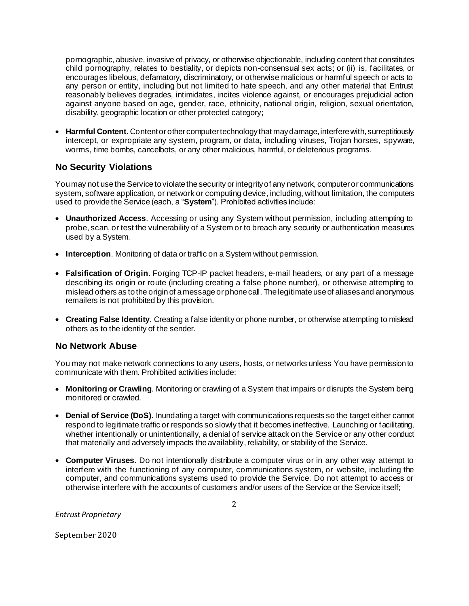pornographic, abusive, invasive of privacy, or otherwise objectionable, including content that constitutes child pornography, relates to bestiality, or depicts non-consensual sex acts; or (ii) is, facilitates, or encourages libelous, defamatory, discriminatory, or otherwise malicious or harmful speech or acts to any person or entity, including but not limited to hate speech, and any other material that Entrust reasonably believes degrades, intimidates, incites violence against, or encourages prejudicial action against anyone based on age, gender, race, ethnicity, national origin, religion, sexual orientation, disability, geographic location or other protected category;

• Harmful Content. Content or other computer technology that may damage, interfere with, surreptitiously intercept, or expropriate any system, program, or data, including viruses, Trojan horses, spyware, worms, time bombs, cancelbots, or any other malicious, harmful, or deleterious programs.

# **No Security Violations**

You may not use the Service to violate the security or integrity of any network, computer or communications system, software application, or network or computing device, including, without limitation, the computers used to provide the Service (each, a "**System**"). Prohibited activities include:

- **Unauthorized Access**. Accessing or using any System without permission, including attempting to probe, scan, or test the vulnerability of a System or to breach any security or authentication measures used by a System.
- **Interception**. Monitoring of data or traffic on a System without permission.
- **Falsification of Origin**. Forging TCP-IP packet headers, e-mail headers, or any part of a message describing its origin or route (including creating a false phone number), or otherwise attempting to mislead others as to the origin of a message or phone call. The legitimate use of aliases and anonymous remailers is not prohibited by this provision.
- **Creating False Identity**. Creating a false identity or phone number, or otherwise attempting to mislead others as to the identity of the sender.

## **No Network Abuse**

You may not make network connections to any users, hosts, or networks unless You have permission to communicate with them. Prohibited activities include:

- **Monitoring or Crawling**. Monitoring or crawling of a System that impairs or disrupts the System being monitored or crawled.
- **Denial of Service (DoS)**. Inundating a target with communications requests so the target either cannot respond to legitimate traffic or responds so slowly that it becomes ineffective. Launching or facilitating, whether intentionally or unintentionally, a denial of service attack on the Service or any other conduct that materially and adversely impacts the availability, reliability, or stability of the Service.
- **Computer Viruses**. Do not intentionally distribute a computer virus or in any other way attempt to interfere with the functioning of any computer, communications system, or website, including the computer, and communications systems used to provide the Service. Do not attempt to access or otherwise interfere with the accounts of customers and/or users of the Service or the Service itself;

*Entrust Proprietary*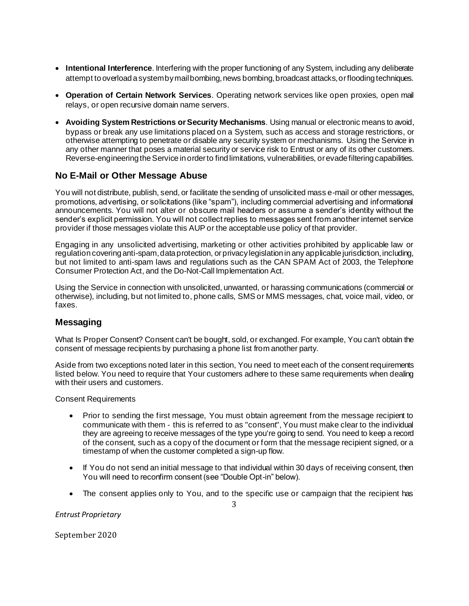- **Intentional Interference**. Interfering with the proper functioning of any System, including any deliberate attempt to overload a system by mail bombing, news bombing, broadcast attacks, or flooding techniques.
- **Operation of Certain Network Services**. Operating network services like open proxies, open mail relays, or open recursive domain name servers.
- **Avoiding System Restrictions or Security Mechanisms**. Using manual or electronic means to avoid, bypass or break any use limitations placed on a System, such as access and storage restrictions, or otherwise attempting to penetrate or disable any security system or mechanisms. Using the Service in any other manner that poses a material security or service risk to Entrust or any of its other customers. Reverse-engineering the Service in order to find limitations, vulnerabilities, or evade filtering capabilities.

# **No E-Mail or Other Message Abuse**

You will not distribute, publish, send, or facilitate the sending of unsolicited mass e-mail or other messages, promotions, advertising, or solicitations (like "spam"), including commercial advertising and informational announcements. You will not alter or obscure mail headers or assume a sender's identity without the sender's explicit permission. You will not collect replies to messages sent from another internet service provider if those messages violate this AUP or the acceptable use policy of that provider.

Engaging in any unsolicited advertising, marketing or other activities prohibited by applicable law or regulation covering anti-spam, data protection, or privacy legislation in any applicable jurisdiction, including, but not limited to anti-spam laws and regulations such as the CAN SPAM Act of 2003, the Telephone Consumer Protection Act, and the Do-Not-Call Implementation Act.

Using the Service in connection with unsolicited, unwanted, or harassing communications (commercial or otherwise), including, but not limited to, phone calls, SMS or MMS messages, chat, voice mail, video, or faxes.

## **Messaging**

What Is Proper Consent? Consent can't be bought, sold, or exchanged. For example, You can't obtain the consent of message recipients by purchasing a phone list from another party.

Aside from two exceptions noted later in this section, You need to meet each of the consent requirements listed below. You need to require that Your customers adhere to these same requirements when dealing with their users and customers.

Consent Requirements

- Prior to sending the first message, You must obtain agreement from the message recipient to communicate with them - this is referred to as "consent", You must make clear to the individual they are agreeing to receive messages of the type you're going to send. You need to keep a record of the consent, such as a copy of the document or form that the message recipient signed, or a timestamp of when the customer completed a sign-up flow.
- If You do not send an initial message to that individual within 30 days of receiving consent, then You will need to reconfirm consent (see "Double Opt-in" below).
- The consent applies only to You, and to the specific use or campaign that the recipient has

*Entrust Proprietary*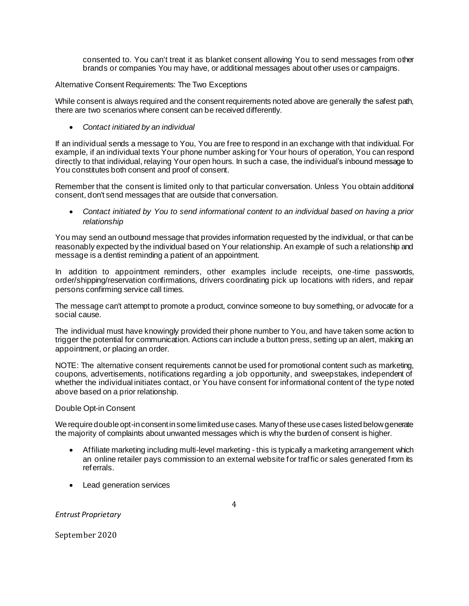consented to. You can't treat it as blanket consent allowing You to send messages from other brands or companies You may have, or additional messages about other uses or campaigns.

#### Alternative Consent Requirements: The Two Exceptions

While consent is always required and the consent requirements noted above are generally the safest path, there are two scenarios where consent can be received differently.

### • *Contact initiated by an individual*

If an individual sends a message to You, You are free to respond in an exchange with that individual. For example, if an individual texts Your phone number asking for Your hours of operation, You can respond directly to that individual, relaying Your open hours. In such a case, the individual's inbound message to You constitutes both consent and proof of consent.

Remember that the consent is limited only to that particular conversation. Unless You obtain additional consent, don't send messages that are outside that conversation.

• *Contact initiated by You to send informational content to an individual based on having a prior relationship*

You may send an outbound message that provides information requested by the individual, or that can be reasonably expected by the individual based on Your relationship. An example of such a relationship and message is a dentist reminding a patient of an appointment.

In addition to appointment reminders, other examples include receipts, one-time passwords, order/shipping/reservation confirmations, drivers coordinating pick up locations with riders, and repair persons confirming service call times.

The message can't attempt to promote a product, convince someone to buy something, or advocate for a social cause.

The individual must have knowingly provided their phone number to You, and have taken some action to trigger the potential for communication. Actions can include a button press, setting up an alert, making an appointment, or placing an order.

NOTE: The alternative consent requirements cannot be used for promotional content such as marketing, coupons, advertisements, notifications regarding a job opportunity, and sweepstakes, independent of whether the individual initiates contact, or You have consent for informational content of the type noted above based on a prior relationship.

### Double Opt-in Consent

We require double opt-in consent in some limited use cases. Many of these use cases listed below generate the majority of complaints about unwanted messages which is why the burden of consent is higher.

- Affiliate marketing including multi-level marketing this is typically a marketing arrangement which an online retailer pays commission to an external website for traffic or sales generated from its referrals.
- Lead generation services

### *Entrust Proprietary*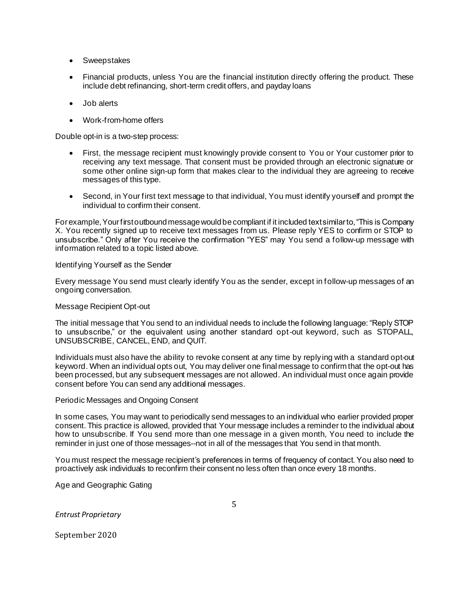- Sweepstakes
- Financial products, unless You are the financial institution directly offering the product. These include debt refinancing, short-term credit offers, and payday loans
- Job alerts
- Work-from-home offers

Double opt-in is a two-step process:

- First, the message recipient must knowingly provide consent to You or Your customer prior to receiving any text message. That consent must be provided through an electronic signature or some other online sign-up form that makes clear to the individual they are agreeing to receive messages of this type.
- Second, in Your first text message to that individual, You must identify yourself and prompt the individual to confirm their consent.

For example, Your first outbound message would be compliant if it included text similar to, "This is Company X. You recently signed up to receive text messages from us. Please reply YES to confirm or STOP to unsubscribe." Only after You receive the confirmation "YES" may You send a follow-up message with information related to a topic listed above.

#### Identifying Yourself as the Sender

Every message You send must clearly identify You as the sender, except in follow-up messages of an ongoing conversation.

#### Message Recipient Opt-out

The initial message that You send to an individual needs to include the following language: "Reply STOP to unsubscribe," or the equivalent using another standard opt-out keyword, such as STOPALL, UNSUBSCRIBE, CANCEL, END, and QUIT.

Individuals must also have the ability to revoke consent at any time by reply ing with a standard opt-out keyword. When an individual opts out, You may deliver one final message to confirm that the opt-out has been processed, but any subsequent messages are not allowed. An individual must once again provide consent before You can send any additional messages.

#### Periodic Messages and Ongoing Consent

In some cases, You may want to periodically send messages to an individual who earlier provided proper consent. This practice is allowed, provided that Your message includes a reminder to the individual about how to unsubscribe. If You send more than one message in a given month, You need to include the reminder in just one of those messages--not in all of the messages that You send in that month.

You must respect the message recipient's preferences in terms of frequency of contact. You also need to proactively ask individuals to reconfirm their consent no less often than once every 18 months.

Age and Geographic Gating

*Entrust Proprietary*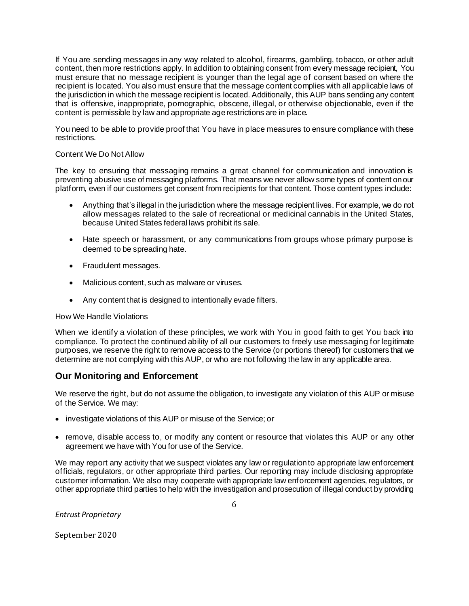If You are sending messages in any way related to alcohol, firearms, gambling, tobacco, or other adult content, then more restrictions apply. In addition to obtaining consent from every message recipient, You must ensure that no message recipient is younger than the legal age of consent based on where the recipient is located. You also must ensure that the message content complies with all applicable laws of the jurisdiction in which the message recipient is located. Additionally, this AUP bans sending any content that is offensive, inappropriate, pornographic, obscene, illegal, or otherwise objectionable, even if the content is permissible by law and appropriate age restrictions are in place.

You need to be able to provide proof that You have in place measures to ensure compliance with these restrictions.

### Content We Do Not Allow

The key to ensuring that messaging remains a great channel for communication and innovation is preventing abusive use of messaging platforms. That means we never allow some types of content on our platform, even if our customers get consent from recipients for that content. Those content types include:

- Anything that's illegal in the jurisdiction where the message recipient lives. For example, we do not allow messages related to the sale of recreational or medicinal cannabis in the United States, because United States federal laws prohibit its sale.
- Hate speech or harassment, or any communications from groups whose primary purpose is deemed to be spreading hate.
- Fraudulent messages.
- Malicious content, such as malware or viruses.
- Any content that is designed to intentionally evade filters.

### How We Handle Violations

When we identify a violation of these principles, we work with You in good faith to get You back into compliance. To protect the continued ability of all our customers to freely use messaging for legitimate purposes, we reserve the right to remove access to the Service (or portions thereof) for customers that we determine are not complying with this AUP, or who are not following the law in any applicable area.

## **Our Monitoring and Enforcement**

We reserve the right, but do not assume the obligation, to investigate any violation of this AUP or misuse of the Service. We may:

- investigate violations of this AUP or misuse of the Service; or
- remove, disable access to, or modify any content or resource that violates this AUP or any other agreement we have with You for use of the Service.

We may report any activity that we suspect violates any law or regulation to appropriate law enforcement officials, regulators, or other appropriate third parties. Our reporting may include disclosing appropriate customer information. We also may cooperate with appropriate law enforcement agencies, regulators, or other appropriate third parties to help with the investigation and prosecution of illegal conduct by providing

*Entrust Proprietary*